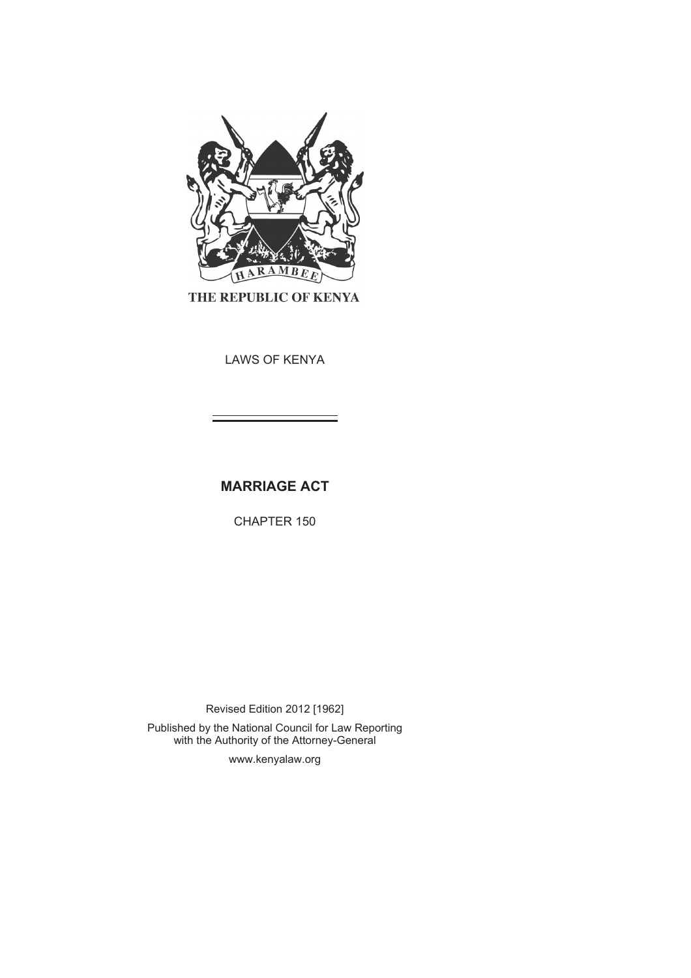

THE REPUBLIC OF KENYA

LAWS OF KENYA

# **MARRIAGE ACT**

CHAPTER 150

Revised Edition 2012 [1962]

Published by the National Council for Law Reporting with the Authority of the Attorney-General

www.kenyalaw.org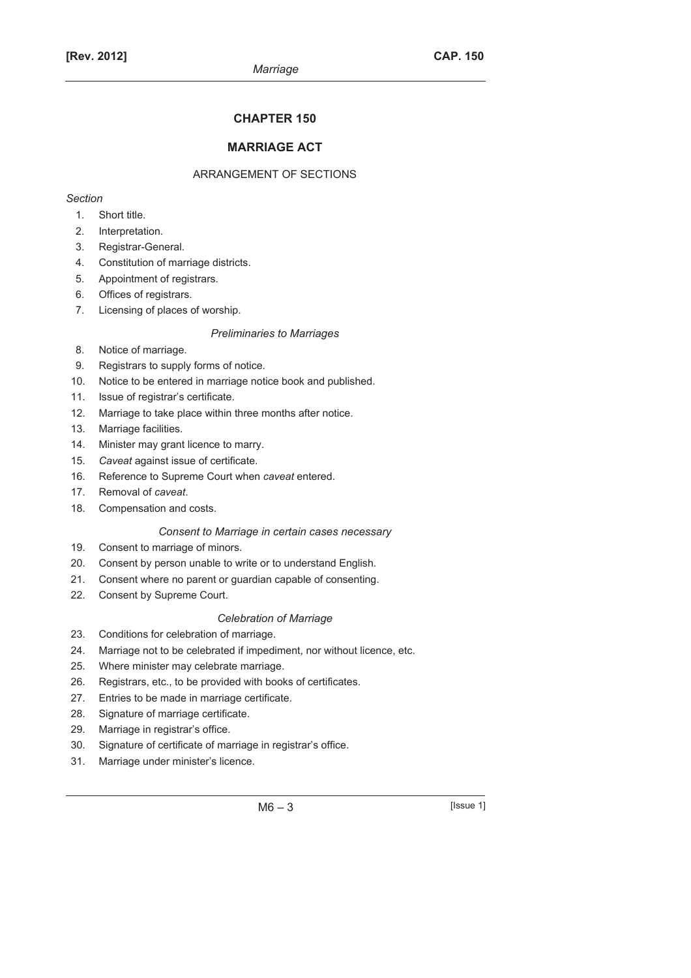# **CHAPTER 150**

# **MARRIAGE ACT**

# ARRANGEMENT OF SECTIONS

#### *Section*

- 1. Short title.
- 2. Interpretation.
- 3. Registrar-General.
- 4. Constitution of marriage districts.
- 5. Appointment of registrars.
- 6. Offices of registrars.
- 7. Licensing of places of worship.

### *Preliminaries to Marriages*

- 8. Notice of marriage.
- 9. Registrars to supply forms of notice.
- 10. Notice to be entered in marriage notice book and published.
- 11. Issue of registrar's certificate.
- 12. Marriage to take place within three months after notice.
- 13. Marriage facilities.
- 14. Minister may grant licence to marry.
- 15. *Caveat* against issue of certificate.
- 16. Reference to Supreme Court when *caveat* entered.
- 17. Removal of *caveat*.
- 18. Compensation and costs.

# *Consent to Marriage in certain cases necessary*

- 19. Consent to marriage of minors.
- 20. Consent by person unable to write or to understand English.
- 21. Consent where no parent or guardian capable of consenting.
- 22. Consent by Supreme Court.

### *Celebration of Marriage*

- 23. Conditions for celebration of marriage.
- 24. Marriage not to be celebrated if impediment, nor without licence, etc.
- 25. Where minister may celebrate marriage.
- 26. Registrars, etc., to be provided with books of certificates.
- 27. Entries to be made in marriage certificate.
- 28. Signature of marriage certificate.
- 29. Marriage in registrar's office.
- 30. Signature of certificate of marriage in registrar's office.
- 31. Marriage under minister's licence.

 $M6 - 3$  [Issue 1]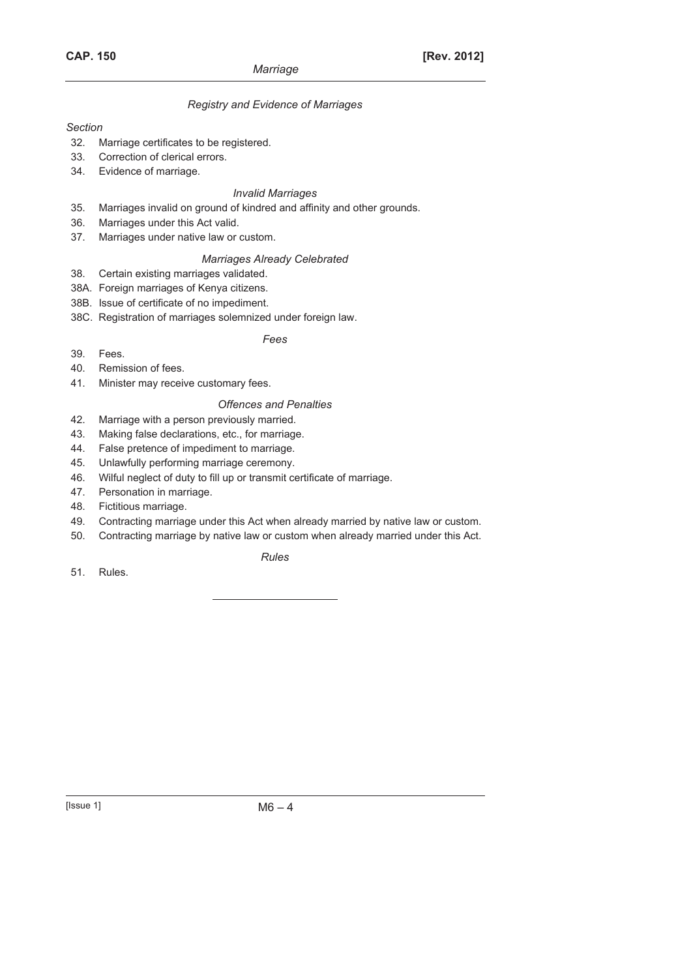# *Registry and Evidence of Marriages*

## *Section*

- 32. Marriage certificates to be registered.
- 33. Correction of clerical errors.
- 34. Evidence of marriage.

### *Invalid Marriages*

- 35. Marriages invalid on ground of kindred and affinity and other grounds.
- 36. Marriages under this Act valid.
- 37. Marriages under native law or custom.

# *Marriages Already Celebrated*

- 38. Certain existing marriages validated.
- 38A. Foreign marriages of Kenya citizens.
- 38B. Issue of certificate of no impediment.
- 38C. Registration of marriages solemnized under foreign law.

### *Fees*

- 39. Fees.
- 40. Remission of fees.
- 41. Minister may receive customary fees.

# *Offences and Penalties*

- 42. Marriage with a person previously married.
- 43. Making false declarations, etc., for marriage.
- 44. False pretence of impediment to marriage.
- 45. Unlawfully performing marriage ceremony.
- 46. Wilful neglect of duty to fill up or transmit certificate of marriage.
- 47. Personation in marriage.
- 48. Fictitious marriage.
- 49. Contracting marriage under this Act when already married by native law or custom.
- 50. Contracting marriage by native law or custom when already married under this Act.

*Rules* 

51. Rules.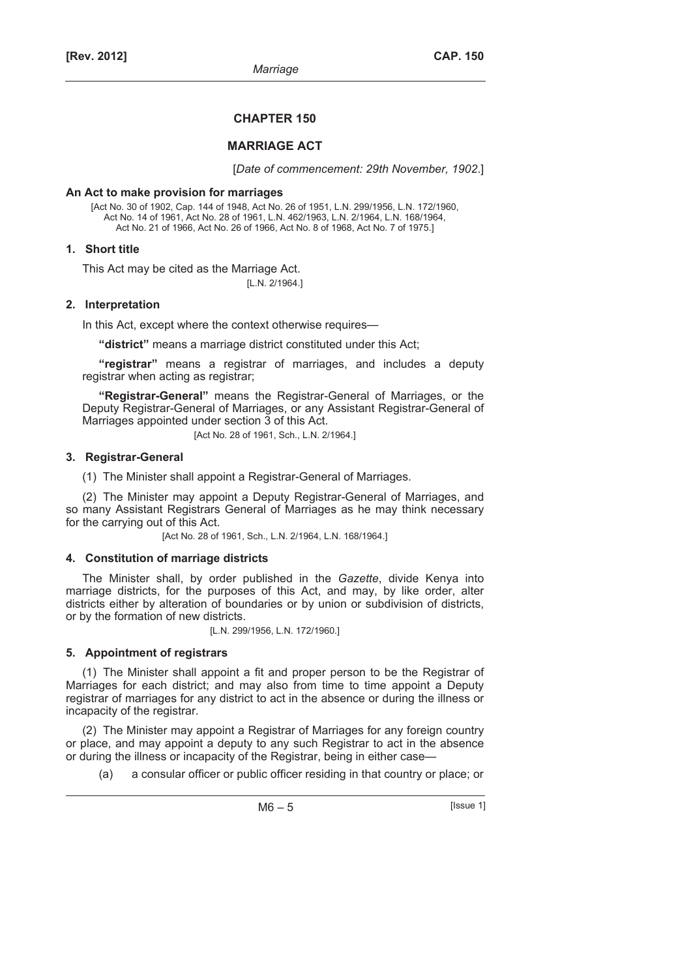# **CHAPTER 150**

# **MARRIAGE ACT**

[*Date of commencement: 29th November, 1902*.]

#### **An Act to make provision for marriages**

[Act No. 30 of 1902, Cap. 144 of 1948, Act No. 26 of 1951, L.N. 299/1956, L.N. 172/1960, Act No. 14 of 1961, Act No. 28 of 1961, L.N. 462/1963, L.N. 2/1964, L.N. 168/1964, Act No. 21 of 1966, Act No. 26 of 1966, Act No. 8 of 1968, Act No. 7 of 1975.]

# **1. Short title**

This Act may be cited as the Marriage Act.

[L.N. 2/1964.]

#### **2. Interpretation**

In this Act, except where the context otherwise requires—

**"district"** means a marriage district constituted under this Act;

**"registrar"** means a registrar of marriages, and includes a deputy registrar when acting as registrar;

**"Registrar-General"** means the Registrar-General of Marriages, or the Deputy Registrar-General of Marriages, or any Assistant Registrar-General of Marriages appointed under section 3 of this Act.

[Act No. 28 of 1961, Sch., L.N. 2/1964.]

#### **3. Registrar-General**

(1) The Minister shall appoint a Registrar-General of Marriages.

(2) The Minister may appoint a Deputy Registrar-General of Marriages, and so many Assistant Registrars General of Marriages as he may think necessary for the carrying out of this Act.

[Act No. 28 of 1961, Sch., L.N. 2/1964, L.N. 168/1964.]

#### **4. Constitution of marriage districts**

The Minister shall, by order published in the *Gazette*, divide Kenya into marriage districts, for the purposes of this Act, and may, by like order, alter districts either by alteration of boundaries or by union or subdivision of districts, or by the formation of new districts.

[L.N. 299/1956, L.N. 172/1960.]

### **5. Appointment of registrars**

(1) The Minister shall appoint a fit and proper person to be the Registrar of Marriages for each district; and may also from time to time appoint a Deputy registrar of marriages for any district to act in the absence or during the illness or incapacity of the registrar.

(2) The Minister may appoint a Registrar of Marriages for any foreign country or place, and may appoint a deputy to any such Registrar to act in the absence or during the illness or incapacity of the Registrar, being in either case—

(a) a consular officer or public officer residing in that country or place; or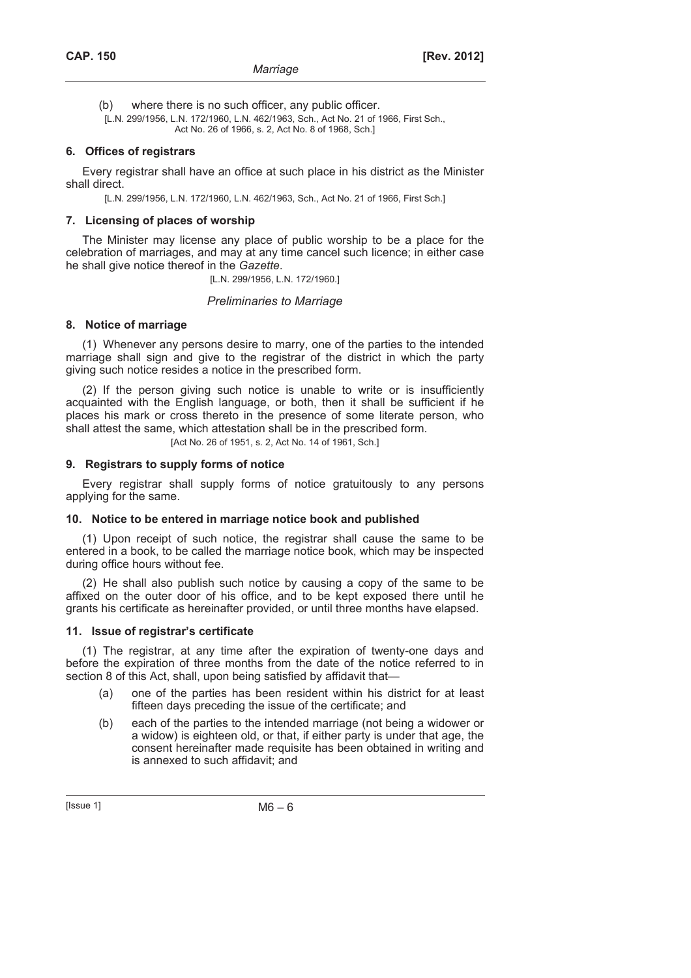(b) where there is no such officer, any public officer.

[L.N. 299/1956, L.N. 172/1960, L.N. 462/1963, Sch., Act No. 21 of 1966, First Sch., Act No. 26 of 1966, s. 2, Act No. 8 of 1968, Sch.]

# **6. Offices of registrars**

Every registrar shall have an office at such place in his district as the Minister shall direct.

[L.N. 299/1956, L.N. 172/1960, L.N. 462/1963, Sch., Act No. 21 of 1966, First Sch.]

# **7. Licensing of places of worship**

The Minister may license any place of public worship to be a place for the celebration of marriages, and may at any time cancel such licence; in either case he shall give notice thereof in the *Gazette*.

[L.N. 299/1956, L.N. 172/1960.]

# *Preliminaries to Marriage*

# **8. Notice of marriage**

(1) Whenever any persons desire to marry, one of the parties to the intended marriage shall sign and give to the registrar of the district in which the party giving such notice resides a notice in the prescribed form.

(2) If the person giving such notice is unable to write or is insufficiently acquainted with the English language, or both, then it shall be sufficient if he places his mark or cross thereto in the presence of some literate person, who shall attest the same, which attestation shall be in the prescribed form.

[Act No. 26 of 1951, s. 2, Act No. 14 of 1961, Sch.]

# **9. Registrars to supply forms of notice**

Every registrar shall supply forms of notice gratuitously to any persons applying for the same.

# **10. Notice to be entered in marriage notice book and published**

(1) Upon receipt of such notice, the registrar shall cause the same to be entered in a book, to be called the marriage notice book, which may be inspected during office hours without fee.

(2) He shall also publish such notice by causing a copy of the same to be affixed on the outer door of his office, and to be kept exposed there until he grants his certificate as hereinafter provided, or until three months have elapsed.

### **11. Issue of registrar's certificate**

(1) The registrar, at any time after the expiration of twenty-one days and before the expiration of three months from the date of the notice referred to in section 8 of this Act, shall, upon being satisfied by affidavit that-

- (a) one of the parties has been resident within his district for at least fifteen days preceding the issue of the certificate; and
- (b) each of the parties to the intended marriage (not being a widower or a widow) is eighteen old, or that, if either party is under that age, the consent hereinafter made requisite has been obtained in writing and is annexed to such affidavit; and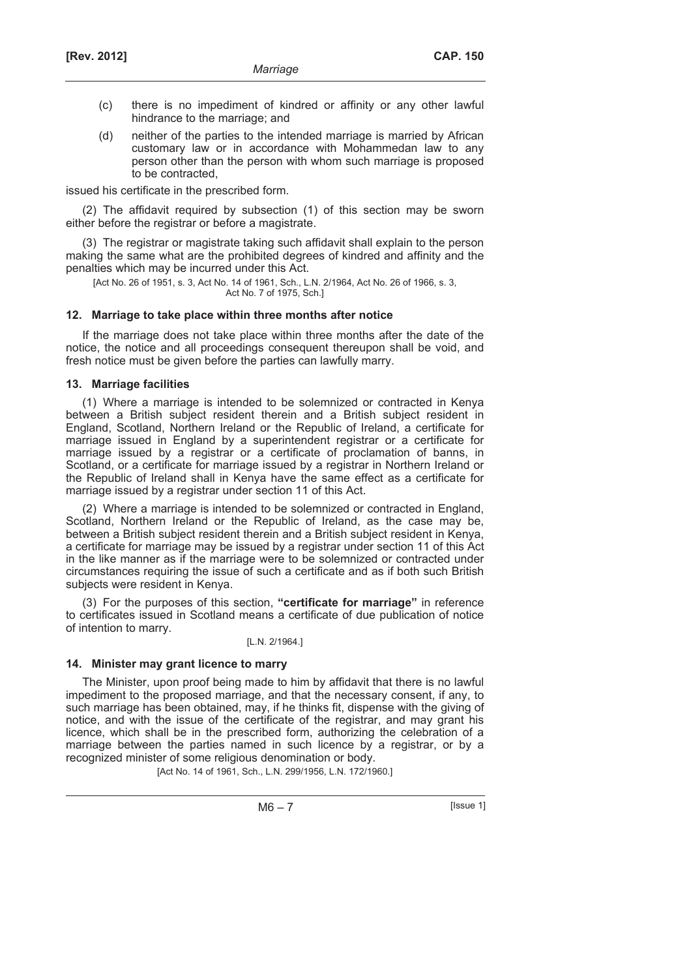- (c) there is no impediment of kindred or affinity or any other lawful hindrance to the marriage; and
- (d) neither of the parties to the intended marriage is married by African customary law or in accordance with Mohammedan law to any person other than the person with whom such marriage is proposed to be contracted,

issued his certificate in the prescribed form.

(2) The affidavit required by subsection (1) of this section may be sworn either before the registrar or before a magistrate.

(3) The registrar or magistrate taking such affidavit shall explain to the person making the same what are the prohibited degrees of kindred and affinity and the penalties which may be incurred under this Act.

[Act No. 26 of 1951, s. 3, Act No. 14 of 1961, Sch., L.N. 2/1964, Act No. 26 of 1966, s. 3, Act No. 7 of 1975, Sch.]

### **12. Marriage to take place within three months after notice**

If the marriage does not take place within three months after the date of the notice, the notice and all proceedings consequent thereupon shall be void, and fresh notice must be given before the parties can lawfully marry.

### **13. Marriage facilities**

(1) Where a marriage is intended to be solemnized or contracted in Kenya between a British subject resident therein and a British subject resident in England, Scotland, Northern Ireland or the Republic of Ireland, a certificate for marriage issued in England by a superintendent registrar or a certificate for marriage issued by a registrar or a certificate of proclamation of banns, in Scotland, or a certificate for marriage issued by a registrar in Northern Ireland or the Republic of Ireland shall in Kenya have the same effect as a certificate for marriage issued by a registrar under section 11 of this Act.

(2) Where a marriage is intended to be solemnized or contracted in England, Scotland, Northern Ireland or the Republic of Ireland, as the case may be, between a British subject resident therein and a British subject resident in Kenya, a certificate for marriage may be issued by a registrar under section 11 of this Act in the like manner as if the marriage were to be solemnized or contracted under circumstances requiring the issue of such a certificate and as if both such British subjects were resident in Kenya.

(3) For the purposes of this section, **"certificate for marriage"** in reference to certificates issued in Scotland means a certificate of due publication of notice of intention to marry.

# [L.N. 2/1964.]

### **14. Minister may grant licence to marry**

The Minister, upon proof being made to him by affidavit that there is no lawful impediment to the proposed marriage, and that the necessary consent, if any, to such marriage has been obtained, may, if he thinks fit, dispense with the giving of notice, and with the issue of the certificate of the registrar, and may grant his licence, which shall be in the prescribed form, authorizing the celebration of a marriage between the parties named in such licence by a registrar, or by a recognized minister of some religious denomination or body.

[Act No. 14 of 1961, Sch., L.N. 299/1956, L.N. 172/1960.]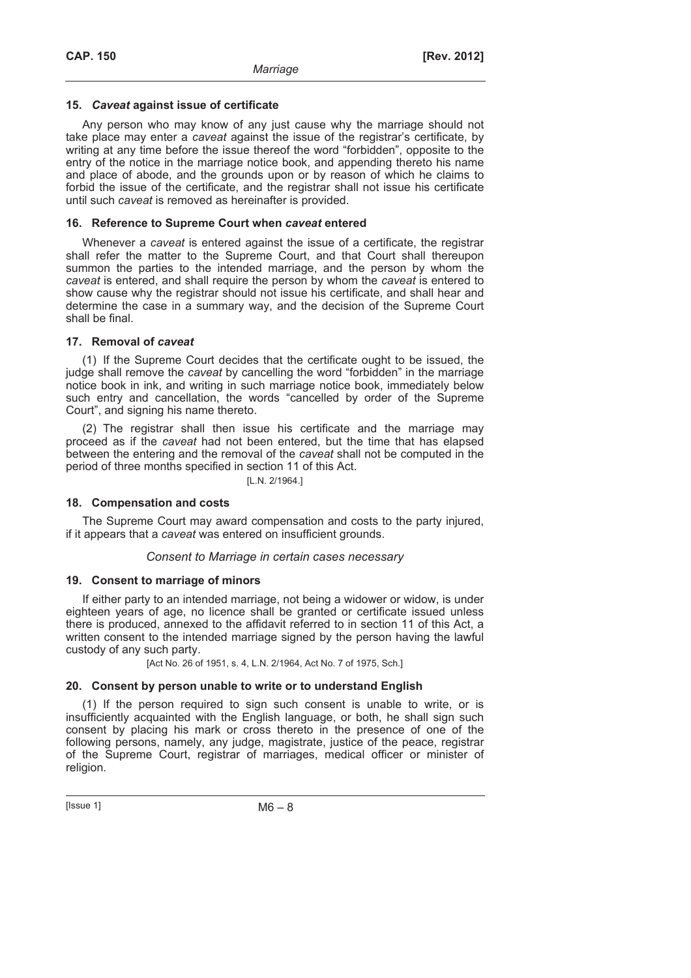# **15.** *Caveat* **against issue of certificate**

Any person who may know of any just cause why the marriage should not take place may enter a *caveat* against the issue of the registrar's certificate, by writing at any time before the issue thereof the word "forbidden", opposite to the entry of the notice in the marriage notice book, and appending thereto his name and place of abode, and the grounds upon or by reason of which he claims to forbid the issue of the certificate, and the registrar shall not issue his certificate until such *caveat* is removed as hereinafter is provided.

# **16. Reference to Supreme Court when** *caveat* **entered**

Whenever a *caveat* is entered against the issue of a certificate, the registrar shall refer the matter to the Supreme Court, and that Court shall thereupon summon the parties to the intended marriage, and the person by whom the *caveat* is entered, and shall require the person by whom the *caveat* is entered to show cause why the registrar should not issue his certificate, and shall hear and determine the case in a summary way, and the decision of the Supreme Court shall be final.

# **17. Removal of** *caveat*

(1) If the Supreme Court decides that the certificate ought to be issued, the judge shall remove the *caveat* by cancelling the word "forbidden" in the marriage notice book in ink, and writing in such marriage notice book, immediately below such entry and cancellation, the words "cancelled by order of the Supreme Court", and signing his name thereto.

(2) The registrar shall then issue his certificate and the marriage may proceed as if the *caveat* had not been entered, but the time that has elapsed between the entering and the removal of the *caveat* shall not be computed in the period of three months specified in section 11 of this Act.

[L.N. 2/1964.]

# **18. Compensation and costs**

The Supreme Court may award compensation and costs to the party injured, if it appears that a *caveat* was entered on insufficient grounds.

### *Consent to Marriage in certain cases necessary*

### **19. Consent to marriage of minors**

If either party to an intended marriage, not being a widower or widow, is under eighteen years of age, no licence shall be granted or certificate issued unless there is produced, annexed to the affidavit referred to in section 11 of this Act, a written consent to the intended marriage signed by the person having the lawful custody of any such party.

[Act No. 26 of 1951, s. 4, L.N. 2/1964, Act No. 7 of 1975, Sch.]

# **20. Consent by person unable to write or to understand English**

(1) If the person required to sign such consent is unable to write, or is insufficiently acquainted with the English language, or both, he shall sign such consent by placing his mark or cross thereto in the presence of one of the following persons, namely, any judge, magistrate, justice of the peace, registrar of the Supreme Court, registrar of marriages, medical officer or minister of religion.

 $[|$ ssue 1 $]$  M6 – 8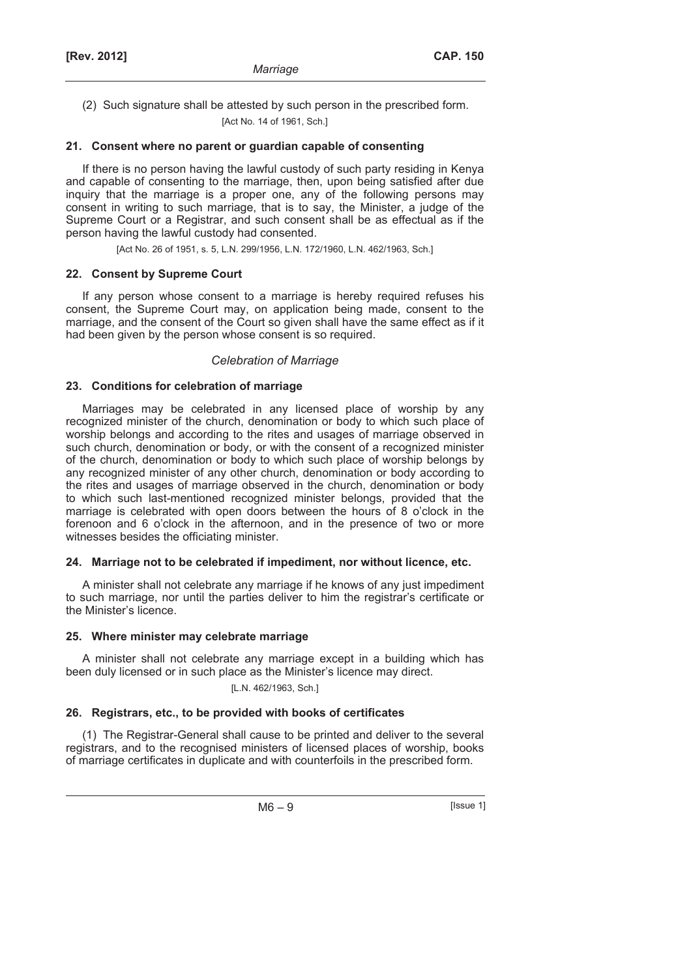(2) Such signature shall be attested by such person in the prescribed form.

[Act No. 14 of 1961, Sch.]

# **21. Consent where no parent or guardian capable of consenting**

If there is no person having the lawful custody of such party residing in Kenya and capable of consenting to the marriage, then, upon being satisfied after due inquiry that the marriage is a proper one, any of the following persons may consent in writing to such marriage, that is to say, the Minister, a judge of the Supreme Court or a Registrar, and such consent shall be as effectual as if the person having the lawful custody had consented.

[Act No. 26 of 1951, s. 5, L.N. 299/1956, L.N. 172/1960, L.N. 462/1963, Sch.]

# **22. Consent by Supreme Court**

If any person whose consent to a marriage is hereby required refuses his consent, the Supreme Court may, on application being made, consent to the marriage, and the consent of the Court so given shall have the same effect as if it had been given by the person whose consent is so required.

# *Celebration of Marriage*

# **23. Conditions for celebration of marriage**

Marriages may be celebrated in any licensed place of worship by any recognized minister of the church, denomination or body to which such place of worship belongs and according to the rites and usages of marriage observed in such church, denomination or body, or with the consent of a recognized minister of the church, denomination or body to which such place of worship belongs by any recognized minister of any other church, denomination or body according to the rites and usages of marriage observed in the church, denomination or body to which such last-mentioned recognized minister belongs, provided that the marriage is celebrated with open doors between the hours of 8 o'clock in the forenoon and 6 o'clock in the afternoon, and in the presence of two or more witnesses besides the officiating minister.

### **24. Marriage not to be celebrated if impediment, nor without licence, etc.**

A minister shall not celebrate any marriage if he knows of any just impediment to such marriage, nor until the parties deliver to him the registrar's certificate or the Minister's licence.

# **25. Where minister may celebrate marriage**

A minister shall not celebrate any marriage except in a building which has been duly licensed or in such place as the Minister's licence may direct.

[L.N. 462/1963, Sch.]

# **26. Registrars, etc., to be provided with books of certificates**

(1) The Registrar-General shall cause to be printed and deliver to the several registrars, and to the recognised ministers of licensed places of worship, books of marriage certificates in duplicate and with counterfoils in the prescribed form.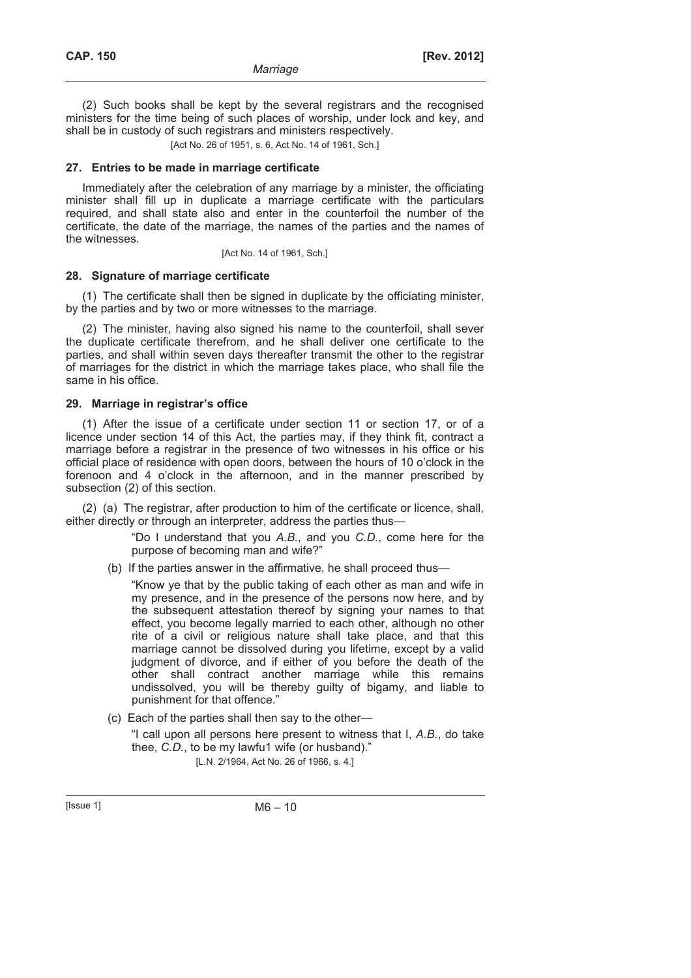(2) Such books shall be kept by the several registrars and the recognised ministers for the time being of such places of worship, under lock and key, and shall be in custody of such registrars and ministers respectively.

[Act No. 26 of 1951, s. 6, Act No. 14 of 1961, Sch.]

### **27. Entries to be made in marriage certificate**

Immediately after the celebration of any marriage by a minister, the officiating minister shall fill up in duplicate a marriage certificate with the particulars required, and shall state also and enter in the counterfoil the number of the certificate, the date of the marriage, the names of the parties and the names of the witnesses.

[Act No. 14 of 1961, Sch.]

# **28. Signature of marriage certificate**

(1) The certificate shall then be signed in duplicate by the officiating minister, by the parties and by two or more witnesses to the marriage.

(2) The minister, having also signed his name to the counterfoil, shall sever the duplicate certificate therefrom, and he shall deliver one certificate to the parties, and shall within seven days thereafter transmit the other to the registrar of marriages for the district in which the marriage takes place, who shall file the same in his office.

# **29. Marriage in registrar's office**

(1) After the issue of a certificate under section 11 or section 17, or of a licence under section 14 of this Act, the parties may, if they think fit, contract a marriage before a registrar in the presence of two witnesses in his office or his official place of residence with open doors, between the hours of 10 o'clock in the forenoon and 4 o'clock in the afternoon, and in the manner prescribed by subsection (2) of this section.

(2) (a) The registrar, after production to him of the certificate or licence, shall, either directly or through an interpreter, address the parties thus—

> "Do I understand that you *A.B.*, and you *C.D.*, come here for the purpose of becoming man and wife?"

(b) If the parties answer in the affirmative, he shall proceed thus—

"Know ye that by the public taking of each other as man and wife in my presence, and in the presence of the persons now here, and by the subsequent attestation thereof by signing your names to that effect, you become legally married to each other, although no other rite of a civil or religious nature shall take place, and that this marriage cannot be dissolved during you lifetime, except by a valid judgment of divorce, and if either of you before the death of the other shall contract another marriage while this remains undissolved, you will be thereby guilty of bigamy, and liable to punishment for that offence."

(c) Each of the parties shall then say to the other—

"I call upon all persons here present to witness that I, *A.B.*, do take thee, *C.D.*, to be my lawfu1 wife (or husband)."

[L.N. 2/1964, Act No. 26 of 1966, s. 4.]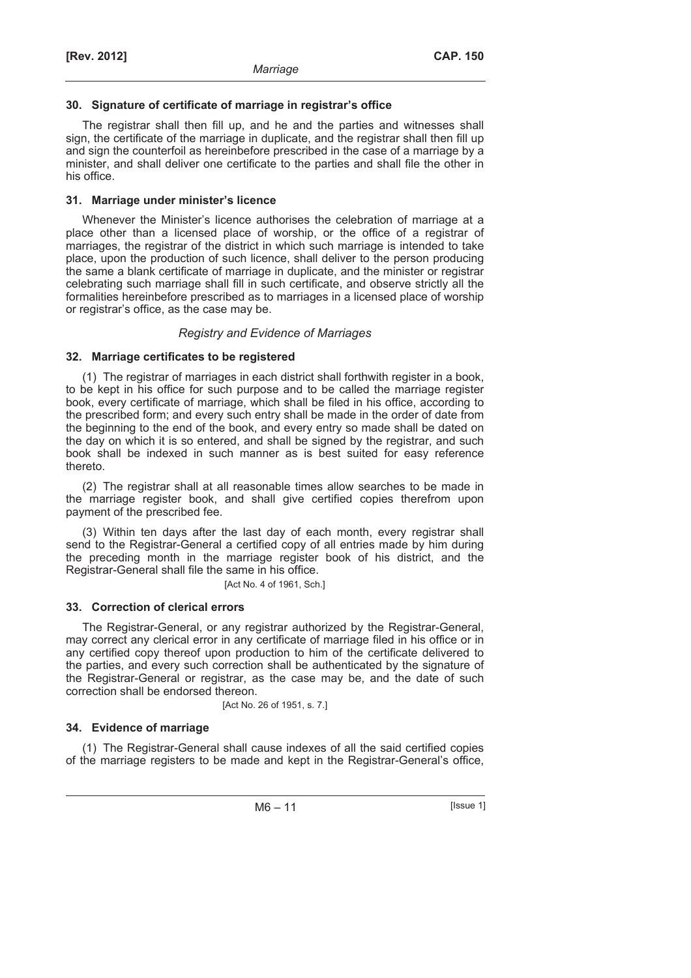# **30. Signature of certificate of marriage in registrar's office**

The registrar shall then fill up, and he and the parties and witnesses shall sign, the certificate of the marriage in duplicate, and the registrar shall then fill up and sign the counterfoil as hereinbefore prescribed in the case of a marriage by a minister, and shall deliver one certificate to the parties and shall file the other in his office.

### **31. Marriage under minister's licence**

Whenever the Minister's licence authorises the celebration of marriage at a place other than a licensed place of worship, or the office of a registrar of marriages, the registrar of the district in which such marriage is intended to take place, upon the production of such licence, shall deliver to the person producing the same a blank certificate of marriage in duplicate, and the minister or registrar celebrating such marriage shall fill in such certificate, and observe strictly all the formalities hereinbefore prescribed as to marriages in a licensed place of worship or registrar's office, as the case may be.

# *Registry and Evidence of Marriages*

# **32. Marriage certificates to be registered**

(1) The registrar of marriages in each district shall forthwith register in a book, to be kept in his office for such purpose and to be called the marriage register book, every certificate of marriage, which shall be filed in his office, according to the prescribed form; and every such entry shall be made in the order of date from the beginning to the end of the book, and every entry so made shall be dated on the day on which it is so entered, and shall be signed by the registrar, and such book shall be indexed in such manner as is best suited for easy reference thereto.

(2) The registrar shall at all reasonable times allow searches to be made in the marriage register book, and shall give certified copies therefrom upon payment of the prescribed fee.

(3) Within ten days after the last day of each month, every registrar shall send to the Registrar-General a certified copy of all entries made by him during the preceding month in the marriage register book of his district, and the Registrar-General shall file the same in his office.

[Act No. 4 of 1961, Sch.]

# **33. Correction of clerical errors**

The Registrar-General, or any registrar authorized by the Registrar-General, may correct any clerical error in any certificate of marriage filed in his office or in any certified copy thereof upon production to him of the certificate delivered to the parties, and every such correction shall be authenticated by the signature of the Registrar-General or registrar, as the case may be, and the date of such correction shall be endorsed thereon.

[Act No. 26 of 1951, s. 7.]

### **34. Evidence of marriage**

(1) The Registrar-General shall cause indexes of all the said certified copies of the marriage registers to be made and kept in the Registrar-General's office,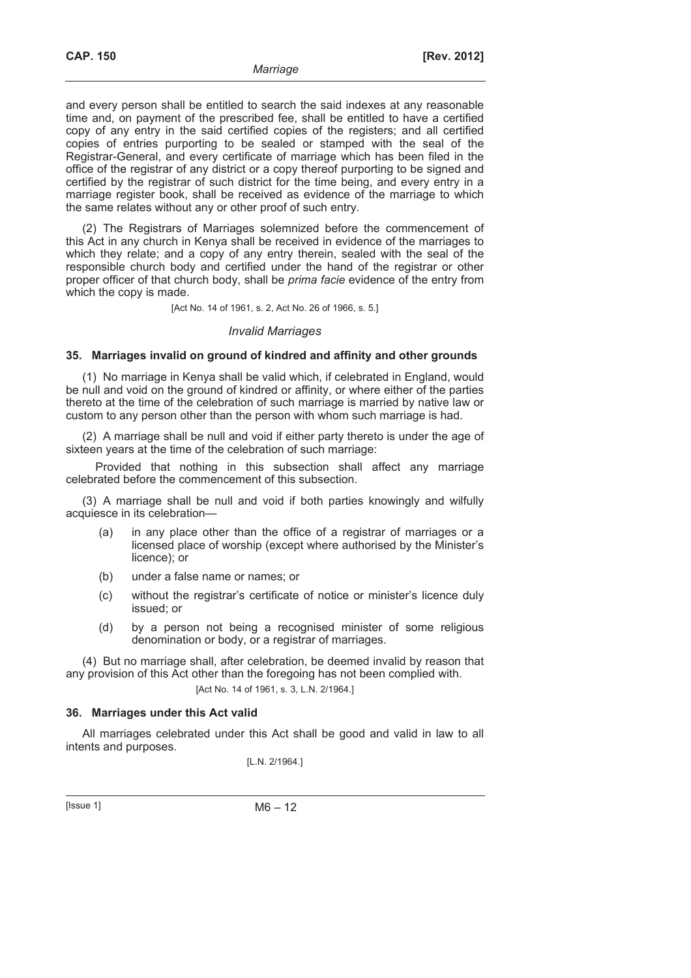and every person shall be entitled to search the said indexes at any reasonable time and, on payment of the prescribed fee, shall be entitled to have a certified copy of any entry in the said certified copies of the registers; and all certified copies of entries purporting to be sealed or stamped with the seal of the Registrar-General, and every certificate of marriage which has been filed in the office of the registrar of any district or a copy thereof purporting to be signed and certified by the registrar of such district for the time being, and every entry in a marriage register book, shall be received as evidence of the marriage to which the same relates without any or other proof of such entry.

(2) The Registrars of Marriages solemnized before the commencement of this Act in any church in Kenya shall be received in evidence of the marriages to which they relate; and a copy of any entry therein, sealed with the seal of the responsible church body and certified under the hand of the registrar or other proper officer of that church body, shall be *prima facie* evidence of the entry from which the copy is made.

[Act No. 14 of 1961, s. 2, Act No. 26 of 1966, s. 5.]

### *Invalid Marriages*

# **35. Marriages invalid on ground of kindred and affinity and other grounds**

(1) No marriage in Kenya shall be valid which, if celebrated in England, would be null and void on the ground of kindred or affinity, or where either of the parties thereto at the time of the celebration of such marriage is married by native law or custom to any person other than the person with whom such marriage is had.

(2) A marriage shall be null and void if either party thereto is under the age of sixteen years at the time of the celebration of such marriage:

Provided that nothing in this subsection shall affect any marriage celebrated before the commencement of this subsection.

(3) A marriage shall be null and void if both parties knowingly and wilfully acquiesce in its celebration—

- (a) in any place other than the office of a registrar of marriages or a licensed place of worship (except where authorised by the Minister's licence); or
- (b) under a false name or names; or
- (c) without the registrar's certificate of notice or minister's licence duly issued; or
- (d) by a person not being a recognised minister of some religious denomination or body, or a registrar of marriages.

(4) But no marriage shall, after celebration, be deemed invalid by reason that any provision of this Act other than the foregoing has not been complied with. [Act No. 14 of 1961, s. 3, L.N. 2/1964.]

### **36. Marriages under this Act valid**

All marriages celebrated under this Act shall be good and valid in law to all intents and purposes.

[L.N. 2/1964.]

 $[|$ Ssue 1 $]$  M6 – 12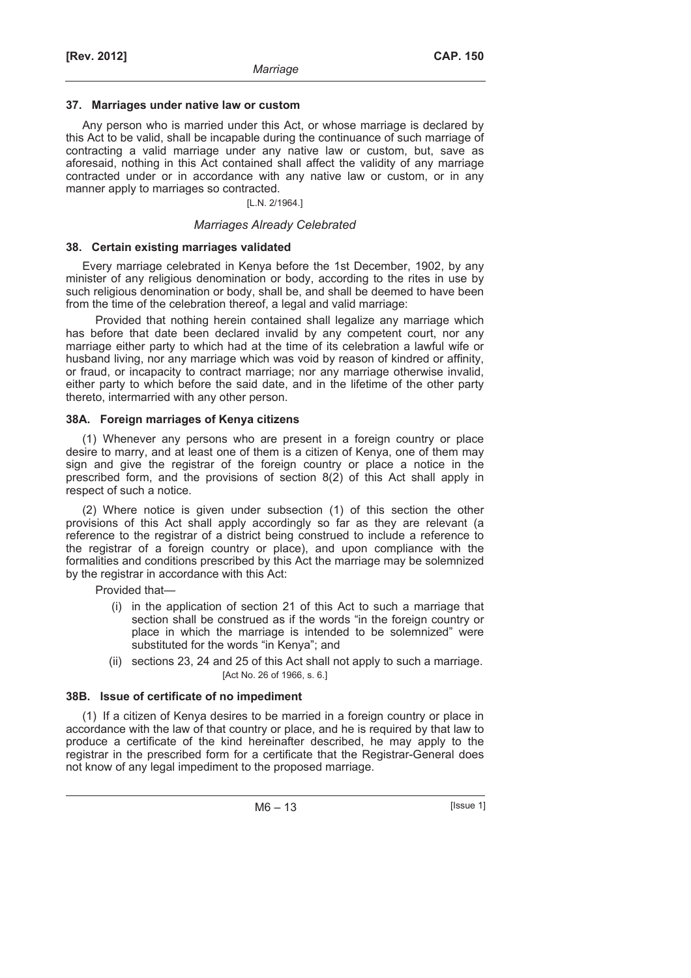# **37. Marriages under native law or custom**

Any person who is married under this Act, or whose marriage is declared by this Act to be valid, shall be incapable during the continuance of such marriage of contracting a valid marriage under any native law or custom, but, save as aforesaid, nothing in this Act contained shall affect the validity of any marriage contracted under or in accordance with any native law or custom, or in any manner apply to marriages so contracted.

# [L.N. 2/1964.]

#### *Marriages Already Celebrated*

### **38. Certain existing marriages validated**

Every marriage celebrated in Kenya before the 1st December, 1902, by any minister of any religious denomination or body, according to the rites in use by such religious denomination or body, shall be, and shall be deemed to have been from the time of the celebration thereof, a legal and valid marriage:

Provided that nothing herein contained shall legalize any marriage which has before that date been declared invalid by any competent court, nor any marriage either party to which had at the time of its celebration a lawful wife or husband living, nor any marriage which was void by reason of kindred or affinity, or fraud, or incapacity to contract marriage; nor any marriage otherwise invalid, either party to which before the said date, and in the lifetime of the other party thereto, intermarried with any other person.

### **38A. Foreign marriages of Kenya citizens**

(1) Whenever any persons who are present in a foreign country or place desire to marry, and at least one of them is a citizen of Kenya, one of them may sign and give the registrar of the foreign country or place a notice in the prescribed form, and the provisions of section 8(2) of this Act shall apply in respect of such a notice.

(2) Where notice is given under subsection (1) of this section the other provisions of this Act shall apply accordingly so far as they are relevant (a reference to the registrar of a district being construed to include a reference to the registrar of a foreign country or place), and upon compliance with the formalities and conditions prescribed by this Act the marriage may be solemnized by the registrar in accordance with this Act:

Provided that—

- (i) in the application of section 21 of this Act to such a marriage that section shall be construed as if the words "in the foreign country or place in which the marriage is intended to be solemnized" were substituted for the words "in Kenya"; and
- (ii) sections 23, 24 and 25 of this Act shall not apply to such a marriage. [Act No. 26 of 1966, s. 6.]

# **38B. Issue of certificate of no impediment**

(1) If a citizen of Kenya desires to be married in a foreign country or place in accordance with the law of that country or place, and he is required by that law to produce a certificate of the kind hereinafter described, he may apply to the registrar in the prescribed form for a certificate that the Registrar-General does not know of any legal impediment to the proposed marriage.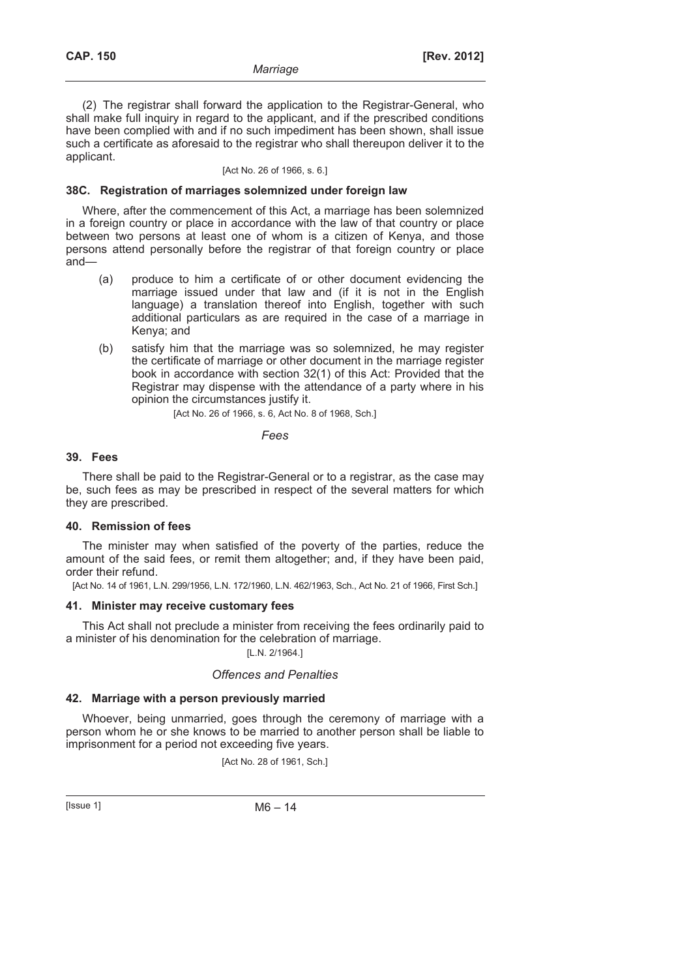(2) The registrar shall forward the application to the Registrar-General, who shall make full inquiry in regard to the applicant, and if the prescribed conditions have been complied with and if no such impediment has been shown, shall issue such a certificate as aforesaid to the registrar who shall thereupon deliver it to the applicant.

#### [Act No. 26 of 1966, s. 6.]

# **38C. Registration of marriages solemnized under foreign law**

Where, after the commencement of this Act, a marriage has been solemnized in a foreign country or place in accordance with the law of that country or place between two persons at least one of whom is a citizen of Kenya, and those persons attend personally before the registrar of that foreign country or place and—

- (a) produce to him a certificate of or other document evidencing the marriage issued under that law and (if it is not in the English language) a translation thereof into English, together with such additional particulars as are required in the case of a marriage in Kenya; and
- (b) satisfy him that the marriage was so solemnized, he may register the certificate of marriage or other document in the marriage register book in accordance with section 32(1) of this Act: Provided that the Registrar may dispense with the attendance of a party where in his opinion the circumstances justify it.

[Act No. 26 of 1966, s. 6, Act No. 8 of 1968, Sch.]

#### *Fees*

# **39. Fees**

There shall be paid to the Registrar-General or to a registrar, as the case may be, such fees as may be prescribed in respect of the several matters for which they are prescribed.

### **40. Remission of fees**

The minister may when satisfied of the poverty of the parties, reduce the amount of the said fees, or remit them altogether; and, if they have been paid, order their refund.

[Act No. 14 of 1961, L.N. 299/1956, L.N. 172/1960, L.N. 462/1963, Sch., Act No. 21 of 1966, First Sch.]

# **41. Minister may receive customary fees**

This Act shall not preclude a minister from receiving the fees ordinarily paid to a minister of his denomination for the celebration of marriage.

### [L.N. 2/1964.]

# *Offences and Penalties*

### **42. Marriage with a person previously married**

Whoever, being unmarried, goes through the ceremony of marriage with a person whom he or she knows to be married to another person shall be liable to imprisonment for a period not exceeding five years.

[Act No. 28 of 1961, Sch.]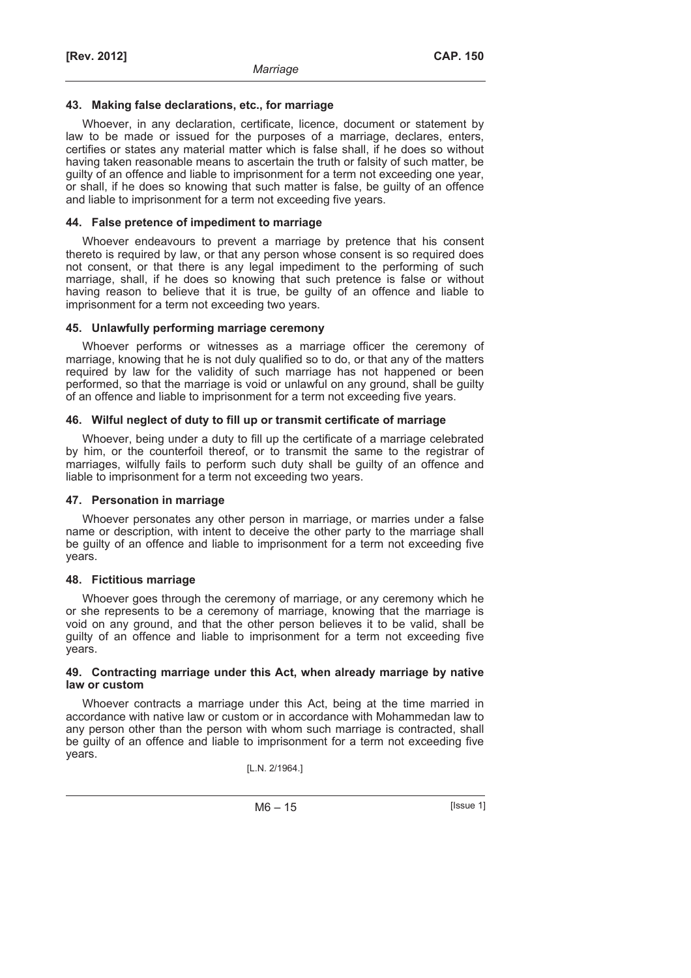# **43. Making false declarations, etc., for marriage**

Whoever, in any declaration, certificate, licence, document or statement by law to be made or issued for the purposes of a marriage, declares, enters, certifies or states any material matter which is false shall, if he does so without having taken reasonable means to ascertain the truth or falsity of such matter, be guilty of an offence and liable to imprisonment for a term not exceeding one year, or shall, if he does so knowing that such matter is false, be guilty of an offence and liable to imprisonment for a term not exceeding five years.

# **44. False pretence of impediment to marriage**

Whoever endeavours to prevent a marriage by pretence that his consent thereto is required by law, or that any person whose consent is so required does not consent, or that there is any legal impediment to the performing of such marriage, shall, if he does so knowing that such pretence is false or without having reason to believe that it is true, be guilty of an offence and liable to imprisonment for a term not exceeding two years.

# **45. Unlawfully performing marriage ceremony**

Whoever performs or witnesses as a marriage officer the ceremony of marriage, knowing that he is not duly qualified so to do, or that any of the matters required by law for the validity of such marriage has not happened or been performed, so that the marriage is void or unlawful on any ground, shall be guilty of an offence and liable to imprisonment for a term not exceeding five years.

# **46. Wilful neglect of duty to fill up or transmit certificate of marriage**

Whoever, being under a duty to fill up the certificate of a marriage celebrated by him, or the counterfoil thereof, or to transmit the same to the registrar of marriages, wilfully fails to perform such duty shall be guilty of an offence and liable to imprisonment for a term not exceeding two years.

### **47. Personation in marriage**

Whoever personates any other person in marriage, or marries under a false name or description, with intent to deceive the other party to the marriage shall be guilty of an offence and liable to imprisonment for a term not exceeding five years.

### **48. Fictitious marriage**

Whoever goes through the ceremony of marriage, or any ceremony which he or she represents to be a ceremony of marriage, knowing that the marriage is void on any ground, and that the other person believes it to be valid, shall be guilty of an offence and liable to imprisonment for a term not exceeding five years.

### **49. Contracting marriage under this Act, when already marriage by native law or custom**

Whoever contracts a marriage under this Act, being at the time married in accordance with native law or custom or in accordance with Mohammedan law to any person other than the person with whom such marriage is contracted, shall be guilty of an offence and liable to imprisonment for a term not exceeding five years.

[L.N. 2/1964.]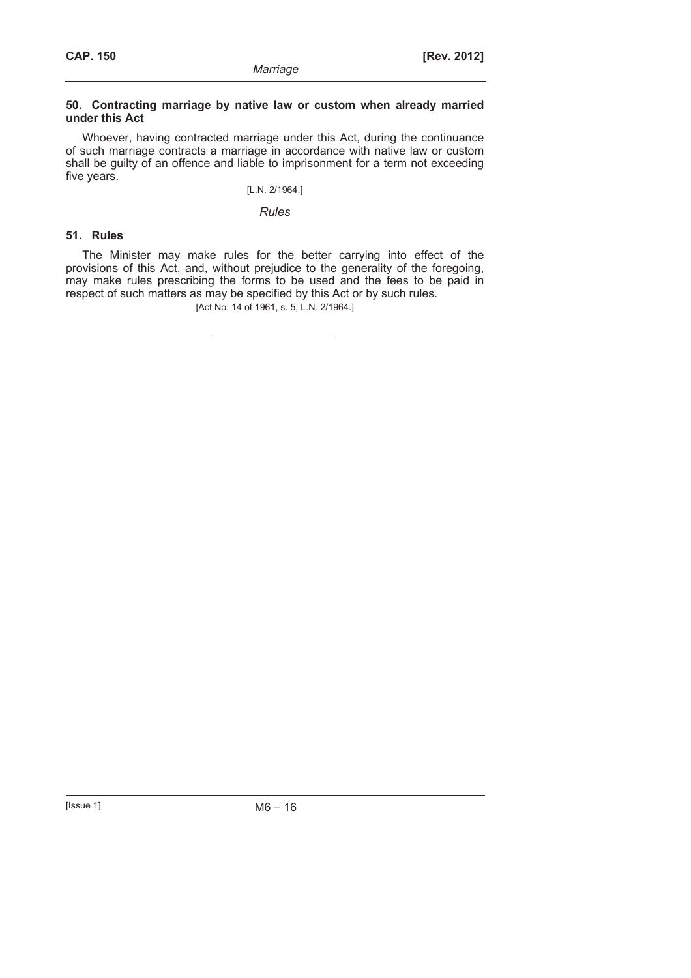#### **50. Contracting marriage by native law or custom when already married under this Act**

Whoever, having contracted marriage under this Act, during the continuance of such marriage contracts a marriage in accordance with native law or custom shall be guilty of an offence and liable to imprisonment for a term not exceeding five years.

[L.N. 2/1964.]

#### *Rules*

# **51. Rules**

The Minister may make rules for the better carrying into effect of the provisions of this Act, and, without prejudice to the generality of the foregoing, may make rules prescribing the forms to be used and the fees to be paid in respect of such matters as may be specified by this Act or by such rules.

[Act No. 14 of 1961, s. 5, L.N. 2/1964.]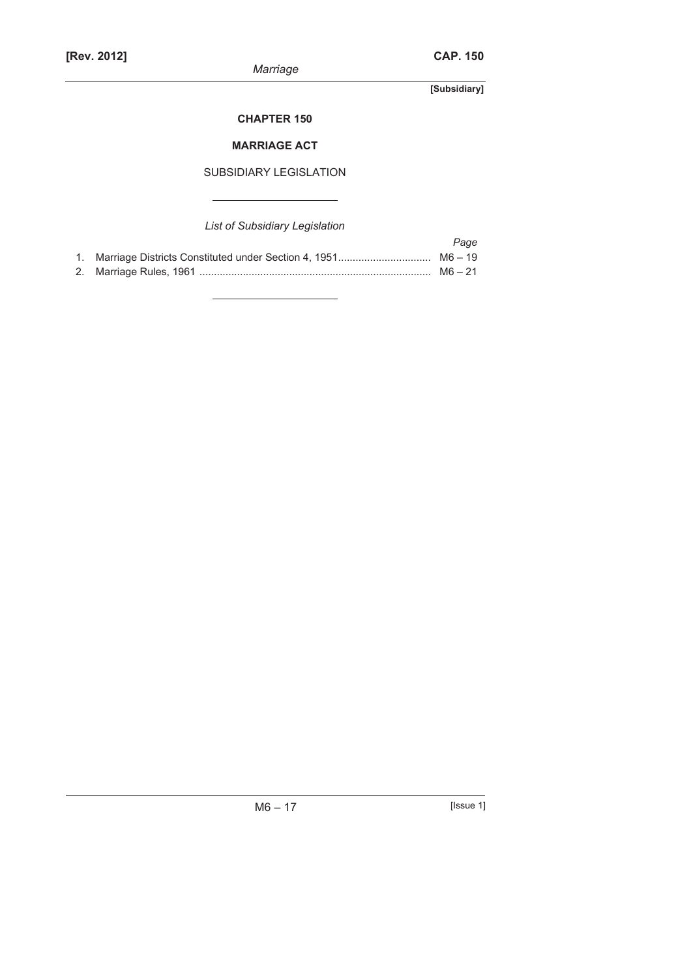*Marriage* 

**[Subsidiary]** 

# **CHAPTER 150**

# **MARRIAGE ACT**

# SUBSIDIARY LEGISLATION

*List of Subsidiary Legislation* 

|  | Page |
|--|------|
|  |      |
|  |      |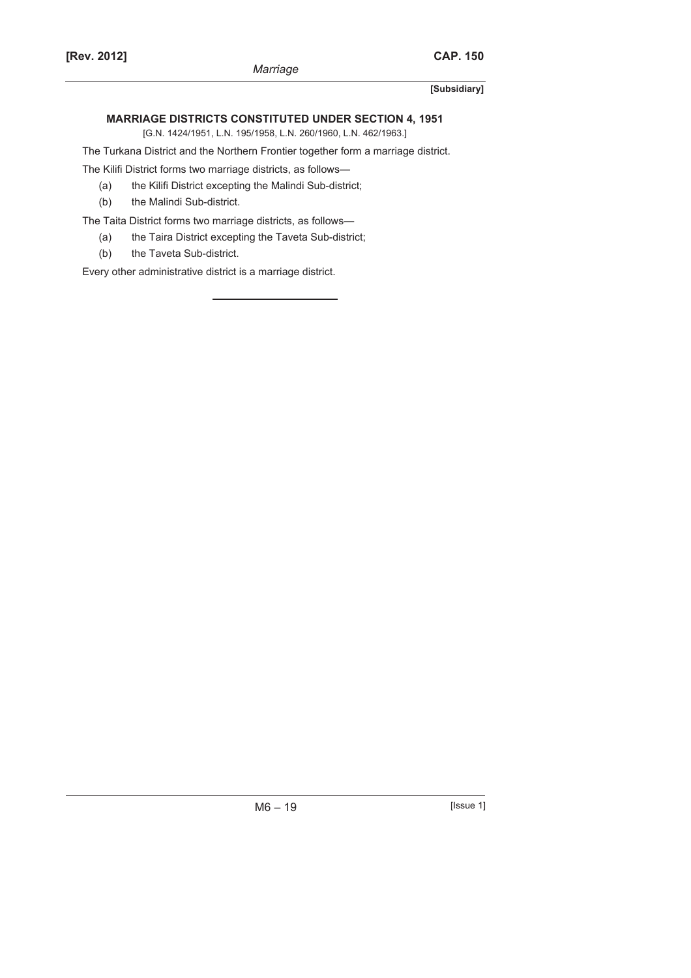#### **[Subsidiary]**

# **MARRIAGE DISTRICTS CONSTITUTED UNDER SECTION 4, 1951**

[G.N. 1424/1951, L.N. 195/1958, L.N. 260/1960, L.N. 462/1963.]

#### The Turkana District and the Northern Frontier together form a marriage district.

The Kilifi District forms two marriage districts, as follows—

- (a) the Kilifi District excepting the Malindi Sub-district;
- (b) the Malindi Sub-district.

The Taita District forms two marriage districts, as follows—

- (a) the Taira District excepting the Taveta Sub-district;
- (b) the Taveta Sub-district.

Every other administrative district is a marriage district.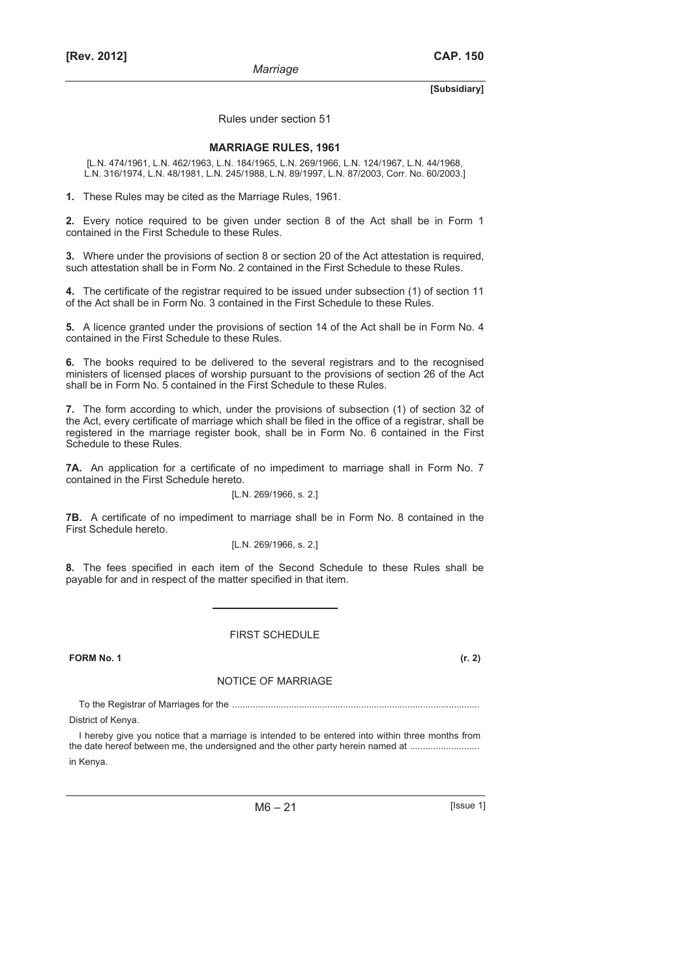**[Subsidiary]** 

#### Rules under section 51

#### **MARRIAGE RULES, 1961**

[L.N. 474/1961, L.N. 462/1963, L.N. 184/1965, L.N. 269/1966, L.N. 124/1967, L.N. 44/1968, L.N. 316/1974, L.N. 48/1981, L.N. 245/1988, L.N. 89/1997, L.N. 87/2003, Corr. No. 60/2003.]

**1.** These Rules may be cited as the Marriage Rules, 1961.

**2.** Every notice required to be given under section 8 of the Act shall be in Form 1 contained in the First Schedule to these Rules.

**3.** Where under the provisions of section 8 or section 20 of the Act attestation is required, such attestation shall be in Form No. 2 contained in the First Schedule to these Rules.

**4.** The certificate of the registrar required to be issued under subsection (1) of section 11 of the Act shall be in Form No. 3 contained in the First Schedule to these Rules.

**5.** A licence granted under the provisions of section 14 of the Act shall be in Form No. 4 contained in the First Schedule to these Rules.

**6.** The books required to be delivered to the several registrars and to the recognised ministers of licensed places of worship pursuant to the provisions of section 26 of the Act shall be in Form No. 5 contained in the First Schedule to these Rules.

**7.** The form according to which, under the provisions of subsection (1) of section 32 of the Act, every certificate of marriage which shall be filed in the office of a registrar, shall be registered in the marriage register book, shall be in Form No. 6 contained in the First Schedule to these Rules.

**7A.** An application for a certificate of no impediment to marriage shall in Form No. 7 contained in the First Schedule hereto.

[L.N. 269/1966, s. 2.]

**7B.** A certificate of no impediment to marriage shall be in Form No. 8 contained in the First Schedule hereto.

[L.N. 269/1966, s. 2.]

**8.** The fees specified in each item of the Second Schedule to these Rules shall be payable for and in respect of the matter specified in that item.

FIRST SCHEDULE

**FORM No. 1 (r. 2)**

NOTICE OF MARRIAGE

To the Registrar of Marriages for the ................................................................................................

District of Kenya.

I hereby give you notice that a marriage is intended to be entered into within three months from the date hereof between me, the undersigned and the other party herein named at .............................. in Kenya.

 $M6 - 21$  [Issue 1]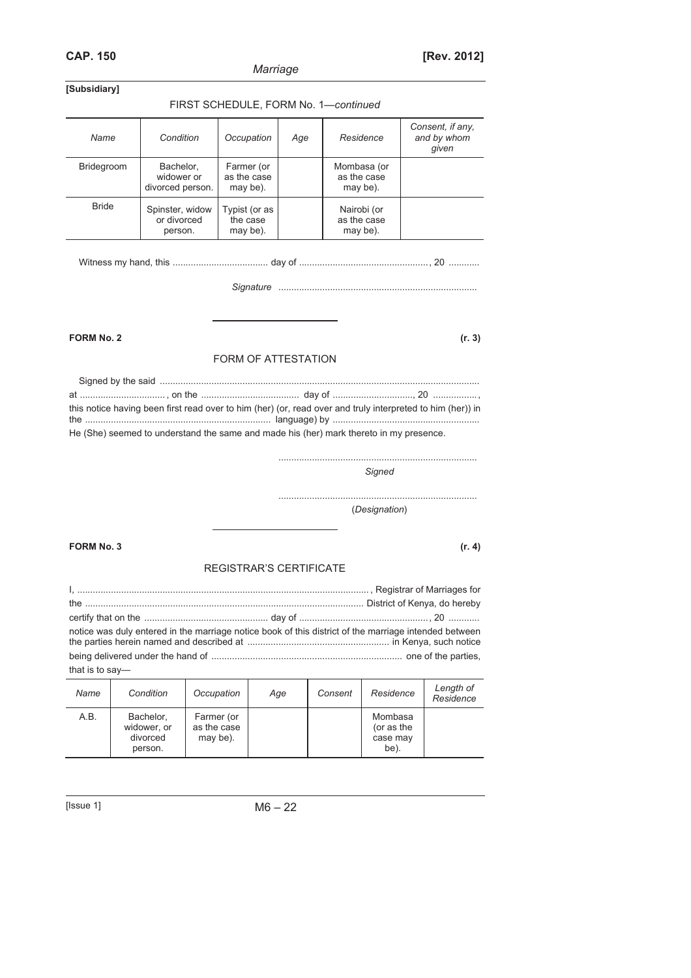*Marriage* 

| [Subsidiary]      |                                                                                        |            |                                       |     | FIRST SCHEDULE, FORM No. 1-continued   |               |                                                                                                            |
|-------------------|----------------------------------------------------------------------------------------|------------|---------------------------------------|-----|----------------------------------------|---------------|------------------------------------------------------------------------------------------------------------|
|                   |                                                                                        |            |                                       |     |                                        |               |                                                                                                            |
| Name              | Condition                                                                              |            | Occupation                            | Age | Residence                              |               | Consent, if any,<br>and by whom<br>given                                                                   |
| Bridegroom        | Bachelor,<br>widower or<br>divorced person.                                            |            | Farmer (or<br>as the case<br>may be). |     | Mombasa (or<br>as the case<br>may be). |               |                                                                                                            |
| <b>Bride</b>      | Spinster, widow<br>or divorced<br>person.                                              |            | Typist (or as<br>the case<br>may be). |     | as the case<br>may be).                | Nairobi (or   |                                                                                                            |
|                   |                                                                                        |            |                                       |     |                                        |               |                                                                                                            |
|                   |                                                                                        |            |                                       |     |                                        |               |                                                                                                            |
|                   |                                                                                        |            |                                       |     |                                        |               |                                                                                                            |
|                   |                                                                                        |            |                                       |     |                                        |               |                                                                                                            |
| <b>FORM No. 2</b> |                                                                                        |            |                                       |     |                                        |               | (r. 3)                                                                                                     |
|                   |                                                                                        |            | <b>FORM OF ATTESTATION</b>            |     |                                        |               |                                                                                                            |
|                   |                                                                                        |            |                                       |     |                                        |               |                                                                                                            |
|                   |                                                                                        |            |                                       |     |                                        |               |                                                                                                            |
|                   |                                                                                        |            |                                       |     |                                        |               | this notice having been first read over to him (her) (or, read over and truly interpreted to him (her)) in |
|                   |                                                                                        |            |                                       |     |                                        |               |                                                                                                            |
|                   | He (She) seemed to understand the same and made his (her) mark thereto in my presence. |            |                                       |     |                                        |               |                                                                                                            |
|                   |                                                                                        |            |                                       |     |                                        |               |                                                                                                            |
|                   |                                                                                        |            |                                       |     |                                        | Signed        |                                                                                                            |
|                   |                                                                                        |            |                                       |     |                                        |               |                                                                                                            |
|                   |                                                                                        |            |                                       |     |                                        | (Designation) |                                                                                                            |
|                   |                                                                                        |            |                                       |     |                                        |               |                                                                                                            |
| <b>FORM No. 3</b> |                                                                                        |            |                                       |     |                                        |               | (r. 4)                                                                                                     |
|                   |                                                                                        |            | <b>REGISTRAR'S CERTIFICATE</b>        |     |                                        |               |                                                                                                            |
|                   |                                                                                        |            |                                       |     |                                        |               |                                                                                                            |
|                   |                                                                                        |            |                                       |     |                                        |               |                                                                                                            |
|                   |                                                                                        |            |                                       |     |                                        |               |                                                                                                            |
|                   |                                                                                        |            |                                       |     |                                        |               | notice was duly entered in the marriage notice book of this district of the marriage intended between      |
|                   |                                                                                        |            |                                       |     |                                        |               |                                                                                                            |
| that is to say-   |                                                                                        |            |                                       |     |                                        |               |                                                                                                            |
| Name              | Condition                                                                              | Occupation | Age                                   |     | Consent                                | Residence     | Length of<br>Residence                                                                                     |

widower, or divorced person.

Farmer (or as the case may be).

A.B. **Bachelor,** 

 Mombasa (or as the case may be).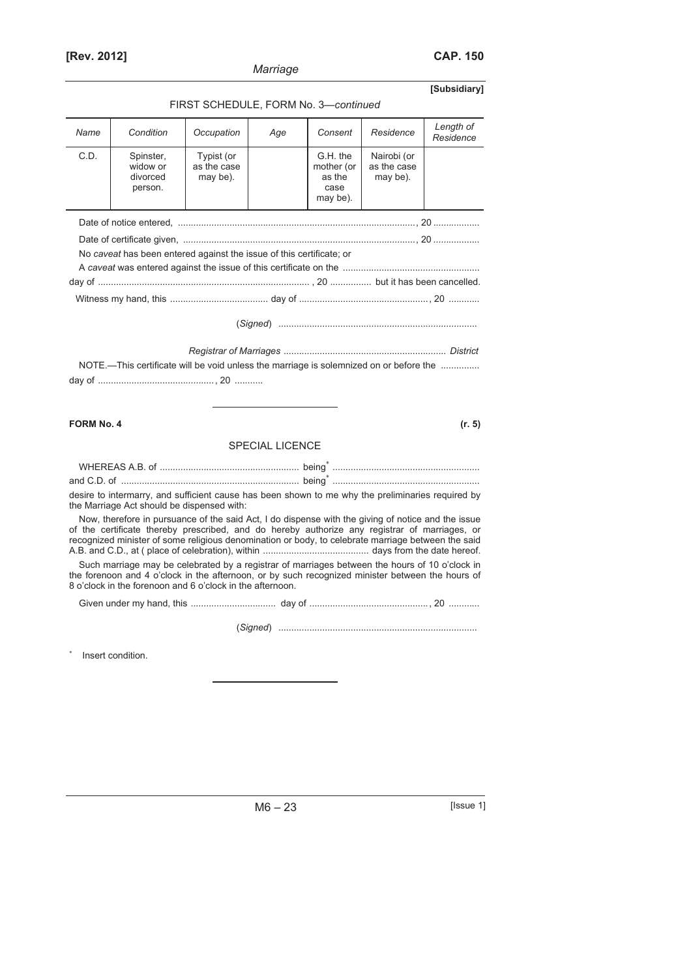# *Marriage*

**[Subsidiary]** 

| FIRST SCHEDULE, FORM No. 3-continued |  |  |
|--------------------------------------|--|--|
|--------------------------------------|--|--|

| Name                                                                                                                                                                                                                                                                                                      | Condition                                                                              | Occupation                            | Age                    | Consent                                              | Residence                              | Length of<br>Residence |  |  |  |  |  |
|-----------------------------------------------------------------------------------------------------------------------------------------------------------------------------------------------------------------------------------------------------------------------------------------------------------|----------------------------------------------------------------------------------------|---------------------------------------|------------------------|------------------------------------------------------|----------------------------------------|------------------------|--|--|--|--|--|
| C.D.                                                                                                                                                                                                                                                                                                      | Spinster,<br>widow or<br>divorced<br>person.                                           | Typist (or<br>as the case<br>may be). |                        | G.H. the<br>mother (or<br>as the<br>case<br>may be). | Nairobi (or<br>as the case<br>may be). |                        |  |  |  |  |  |
|                                                                                                                                                                                                                                                                                                           |                                                                                        |                                       |                        |                                                      |                                        |                        |  |  |  |  |  |
|                                                                                                                                                                                                                                                                                                           |                                                                                        |                                       |                        |                                                      |                                        |                        |  |  |  |  |  |
|                                                                                                                                                                                                                                                                                                           | No caveat has been entered against the issue of this certificate; or                   |                                       |                        |                                                      |                                        |                        |  |  |  |  |  |
|                                                                                                                                                                                                                                                                                                           |                                                                                        |                                       |                        |                                                      |                                        |                        |  |  |  |  |  |
|                                                                                                                                                                                                                                                                                                           |                                                                                        |                                       |                        |                                                      |                                        |                        |  |  |  |  |  |
|                                                                                                                                                                                                                                                                                                           |                                                                                        |                                       |                        |                                                      |                                        |                        |  |  |  |  |  |
|                                                                                                                                                                                                                                                                                                           |                                                                                        |                                       |                        |                                                      |                                        |                        |  |  |  |  |  |
|                                                                                                                                                                                                                                                                                                           |                                                                                        |                                       |                        |                                                      |                                        |                        |  |  |  |  |  |
|                                                                                                                                                                                                                                                                                                           | NOTE.-This certificate will be void unless the marriage is solemnized on or before the |                                       |                        |                                                      |                                        |                        |  |  |  |  |  |
|                                                                                                                                                                                                                                                                                                           |                                                                                        |                                       |                        |                                                      |                                        |                        |  |  |  |  |  |
|                                                                                                                                                                                                                                                                                                           |                                                                                        |                                       |                        |                                                      |                                        |                        |  |  |  |  |  |
|                                                                                                                                                                                                                                                                                                           |                                                                                        |                                       |                        |                                                      |                                        |                        |  |  |  |  |  |
| <b>FORM No. 4</b>                                                                                                                                                                                                                                                                                         |                                                                                        |                                       |                        |                                                      |                                        | (r. 5)                 |  |  |  |  |  |
|                                                                                                                                                                                                                                                                                                           |                                                                                        |                                       | <b>SPECIAL LICENCE</b> |                                                      |                                        |                        |  |  |  |  |  |
|                                                                                                                                                                                                                                                                                                           |                                                                                        |                                       |                        |                                                      |                                        |                        |  |  |  |  |  |
|                                                                                                                                                                                                                                                                                                           |                                                                                        |                                       |                        |                                                      |                                        |                        |  |  |  |  |  |
| desire to intermarry, and sufficient cause has been shown to me why the preliminaries required by<br>the Marriage Act should be dispensed with:                                                                                                                                                           |                                                                                        |                                       |                        |                                                      |                                        |                        |  |  |  |  |  |
| Now, therefore in pursuance of the said Act, I do dispense with the giving of notice and the issue<br>of the certificate thereby prescribed, and do hereby authorize any registrar of marriages, or<br>recognized minister of some religious denomination or body, to celebrate marriage between the said |                                                                                        |                                       |                        |                                                      |                                        |                        |  |  |  |  |  |
| Such marriage may be celebrated by a registrar of marriages between the hours of 10 o'clock in<br>the forenoon and 4 o'clock in the afternoon, or by such recognized minister between the hours of<br>8 o'clock in the forenoon and 6 o'clock in the afternoon.                                           |                                                                                        |                                       |                        |                                                      |                                        |                        |  |  |  |  |  |
|                                                                                                                                                                                                                                                                                                           |                                                                                        |                                       |                        |                                                      |                                        |                        |  |  |  |  |  |
|                                                                                                                                                                                                                                                                                                           |                                                                                        |                                       |                        |                                                      |                                        |                        |  |  |  |  |  |

∗ Insert condition.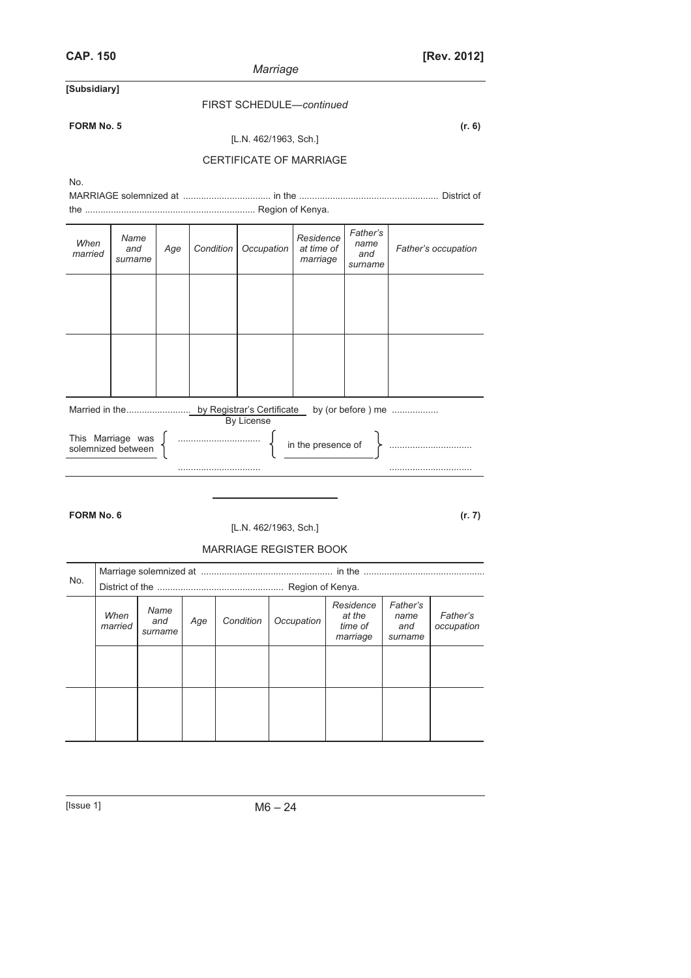| <b>CAP. 150</b>                                                                                                        |                                         |  |  |                                     |                                    |                     | [Rev. 2012] |  |  |
|------------------------------------------------------------------------------------------------------------------------|-----------------------------------------|--|--|-------------------------------------|------------------------------------|---------------------|-------------|--|--|
| Marriage                                                                                                               |                                         |  |  |                                     |                                    |                     |             |  |  |
| [Subsidiary]                                                                                                           |                                         |  |  |                                     |                                    |                     |             |  |  |
|                                                                                                                        |                                         |  |  | FIRST SCHEDULE-continued            |                                    |                     |             |  |  |
| FORM No. 5                                                                                                             |                                         |  |  | [L.N. 462/1963, Sch.]               | (r. 6)                             |                     |             |  |  |
|                                                                                                                        |                                         |  |  | <b>CERTIFICATE OF MARRIAGE</b>      |                                    |                     |             |  |  |
| No.<br>MARRIAGE solemnized at manufactured and the manufactured metal control of the MARRIAGE solemnized at manufactur |                                         |  |  |                                     |                                    |                     |             |  |  |
| Name<br>When<br>Condition<br>Occupation<br>and<br>Age<br>married<br>surname                                            |                                         |  |  | Residence<br>at time of<br>marriage | Father's<br>name<br>and<br>surname | Father's occupation |             |  |  |
|                                                                                                                        |                                         |  |  |                                     |                                    |                     |             |  |  |
|                                                                                                                        |                                         |  |  |                                     |                                    |                     |             |  |  |
|                                                                                                                        |                                         |  |  |                                     |                                    |                     |             |  |  |
|                                                                                                                        |                                         |  |  |                                     |                                    |                     |             |  |  |
|                                                                                                                        |                                         |  |  |                                     |                                    |                     |             |  |  |
|                                                                                                                        |                                         |  |  | By License                          |                                    |                     |             |  |  |
|                                                                                                                        | This Marriage was<br>solemnized between |  |  |                                     | in the presence of                 |                     |             |  |  |
|                                                                                                                        |                                         |  |  |                                     |                                    |                     |             |  |  |

**FORM No. 6 (r. 7)**

[L.N. 462/1963, Sch.]

MARRIAGE REGISTER BOOK

| No. | Region of Kenya. |                        |     |           |            |                                            |                                    |                        |  |  |
|-----|------------------|------------------------|-----|-----------|------------|--------------------------------------------|------------------------------------|------------------------|--|--|
|     | When<br>married  | Name<br>and<br>surname | Age | Condition | Occupation | Residence<br>at the<br>time of<br>marriage | Father's<br>name<br>and<br>surname | Father's<br>occupation |  |  |
|     |                  |                        |     |           |            |                                            |                                    |                        |  |  |
|     |                  |                        |     |           |            |                                            |                                    |                        |  |  |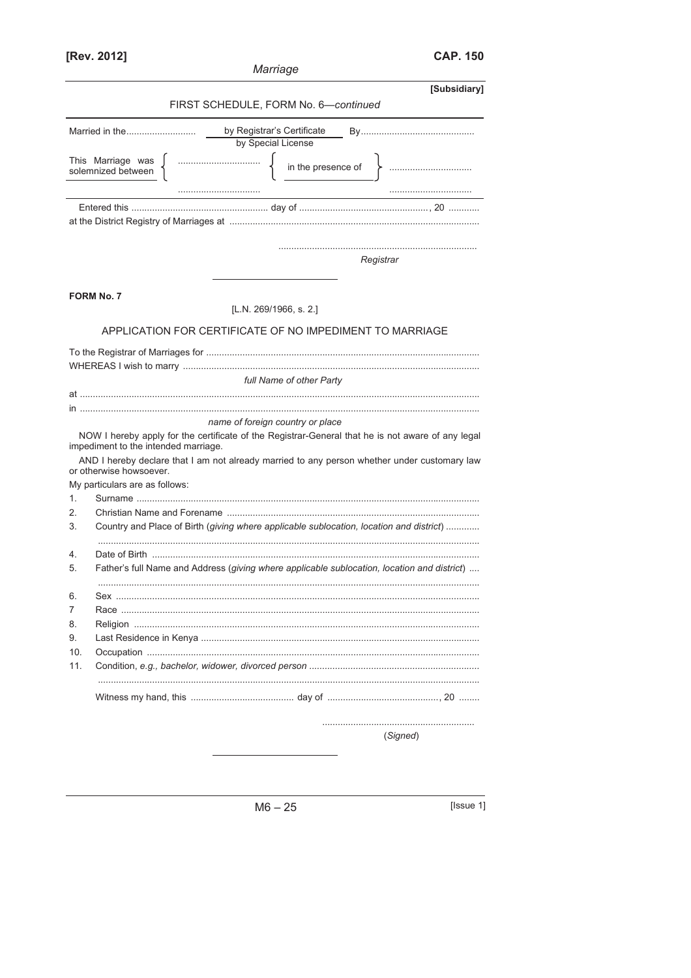[Rev. 2012]

|                   |                                                                                                                                           | FIRST SCHEDULE, FORM No. 6-continued             | [Subsidiary] |
|-------------------|-------------------------------------------------------------------------------------------------------------------------------------------|--------------------------------------------------|--------------|
|                   | Married in the                                                                                                                            | by Registrar's Certificate<br>by Special License |              |
|                   | This Marriage was<br>solemnized between                                                                                                   | in the presence of                               |              |
|                   |                                                                                                                                           |                                                  |              |
|                   |                                                                                                                                           |                                                  |              |
|                   |                                                                                                                                           | Registrar                                        |              |
| <b>FORM No. 7</b> |                                                                                                                                           |                                                  |              |
|                   |                                                                                                                                           | [L.N. 269/1966, s. 2.]                           |              |
|                   | APPLICATION FOR CERTIFICATE OF NO IMPEDIMENT TO MARRIAGE                                                                                  |                                                  |              |
|                   |                                                                                                                                           |                                                  |              |
|                   |                                                                                                                                           | full Name of other Party                         |              |
|                   |                                                                                                                                           |                                                  |              |
|                   |                                                                                                                                           |                                                  |              |
|                   |                                                                                                                                           | name of foreign country or place                 |              |
|                   | NOW I hereby apply for the certificate of the Registrar-General that he is not aware of any legal<br>impediment to the intended marriage. |                                                  |              |
|                   | AND I hereby declare that I am not already married to any person whether under customary law<br>or otherwise howsoever.                   |                                                  |              |
|                   | My particulars are as follows:                                                                                                            |                                                  |              |
| 1.                |                                                                                                                                           |                                                  |              |
| 2.                |                                                                                                                                           |                                                  |              |
| 3.                | Country and Place of Birth (giving where applicable sublocation, location and district)                                                   |                                                  |              |
| 4.                |                                                                                                                                           |                                                  |              |
| 5.                | Father's full Name and Address (giving where applicable sublocation, location and district)                                               |                                                  |              |
|                   |                                                                                                                                           |                                                  |              |
| 6                 | Sex                                                                                                                                       |                                                  |              |
| 7                 |                                                                                                                                           |                                                  |              |
| 8.                |                                                                                                                                           |                                                  |              |
| 9.<br>10.         |                                                                                                                                           |                                                  |              |
| 11.               |                                                                                                                                           |                                                  |              |
|                   |                                                                                                                                           |                                                  |              |
|                   |                                                                                                                                           | (Signed)                                         |              |

Marriage

[Issue 1]